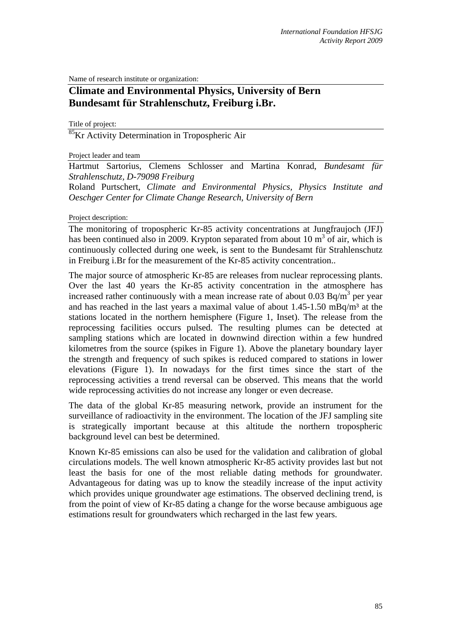Name of research institute or organization:

## **Climate and Environmental Physics, University of Bern Bundesamt für Strahlenschutz, Freiburg i.Br.**

Title of project:

<sup>85</sup>Kr Activity Determination in Tropospheric Air

Project leader and team

Hartmut Sartorius, Clemens Schlosser and Martina Konrad, *Bundesamt für Strahlenschutz, D-79098 Freiburg*

Roland Purtschert, *Climate and Environmental Physics, Physics Institute and Oeschger Center for Climate Change Research, University of Bern*

Project description:

The monitoring of tropospheric Kr-85 activity concentrations at Jungfraujoch (JFJ) has been continued also in 2009. Krypton separated from about 10  $m^3$  of air, which is continuously collected during one week, is sent to the Bundesamt für Strahlenschutz in Freiburg i.Br for the measurement of the Kr-85 activity concentration..

The major source of atmospheric Kr-85 are releases from nuclear reprocessing plants. Over the last 40 years the Kr-85 activity concentration in the atmosphere has increased rather continuously with a mean increase rate of about 0.03 Bq/m<sup>3</sup> per year and has reached in the last years a maximal value of about  $1.45$ -1.50 mBq/m<sup>3</sup> at the stations located in the northern hemisphere (Figure 1, Inset). The release from the reprocessing facilities occurs pulsed. The resulting plumes can be detected at sampling stations which are located in downwind direction within a few hundred kilometres from the source (spikes in Figure 1). Above the planetary boundary layer the strength and frequency of such spikes is reduced compared to stations in lower elevations (Figure 1). In nowadays for the first times since the start of the reprocessing activities a trend reversal can be observed. This means that the world wide reprocessing activities do not increase any longer or even decrease.

The data of the global Kr-85 measuring network, provide an instrument for the surveillance of radioactivity in the environment. The location of the JFJ sampling site is strategically important because at this altitude the northern tropospheric background level can best be determined.

Known Kr-85 emissions can also be used for the validation and calibration of global circulations models. The well known atmospheric Kr-85 activity provides last but not least the basis for one of the most reliable dating methods for groundwater. Advantageous for dating was up to know the steadily increase of the input activity which provides unique groundwater age estimations. The observed declining trend, is from the point of view of Kr-85 dating a change for the worse because ambiguous age estimations result for groundwaters which recharged in the last few years.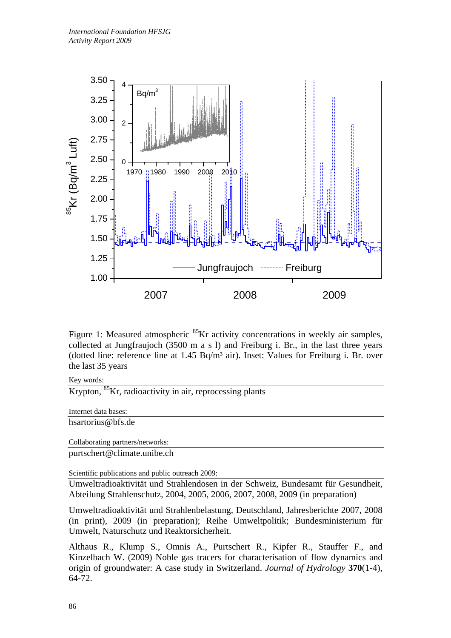

Figure 1: Measured atmospheric <sup>85</sup>Kr activity concentrations in weekly air samples, collected at Jungfraujoch (3500 m a s l) and Freiburg i. Br., in the last three years (dotted line: reference line at  $1.45$  Bq/m<sup>3</sup> air). Inset: Values for Freiburg i. Br. over the last 35 years

Key words:

Krypton, <sup>85</sup>Kr, radioactivity in air, reprocessing plants

Internet data bases: hsartorius@bfs.de

Collaborating partners/networks: purtschert@climate.unibe.ch

Scientific publications and public outreach 2009:

Umweltradioaktivität und Strahlendosen in der Schweiz, Bundesamt für Gesundheit, Abteilung Strahlenschutz, 2004, 2005, 2006, 2007, 2008, 2009 (in preparation)

Umweltradioaktivität und Strahlenbelastung, Deutschland, Jahresberichte 2007, 2008 (in print), 2009 (in preparation); Reihe Umweltpolitik; Bundesministerium für Umwelt, Naturschutz und Reaktorsicherheit.

Althaus R., Klump S., Omnis A., Purtschert R., Kipfer R., Stauffer F., and Kinzelbach W. (2009) Noble gas tracers for characterisation of flow dynamics and origin of groundwater: A case study in Switzerland. *Journal of Hydrology* **370**(1-4), 64-72.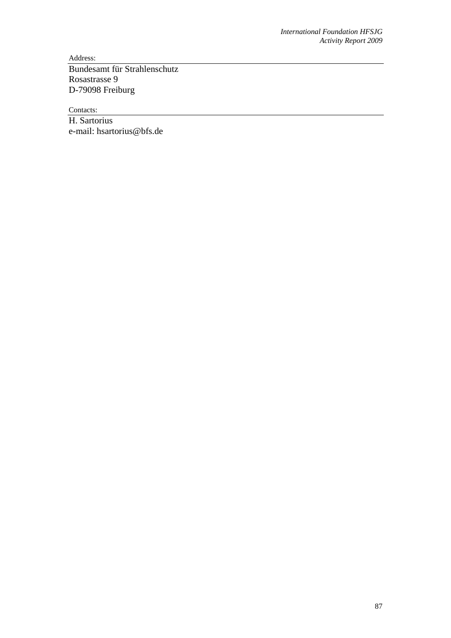Address:

Bundesamt für Strahlenschutz Rosastrasse 9 D-79098 Freiburg

Contacts:

H. Sartorius e-mail: hsartorius@bfs.de